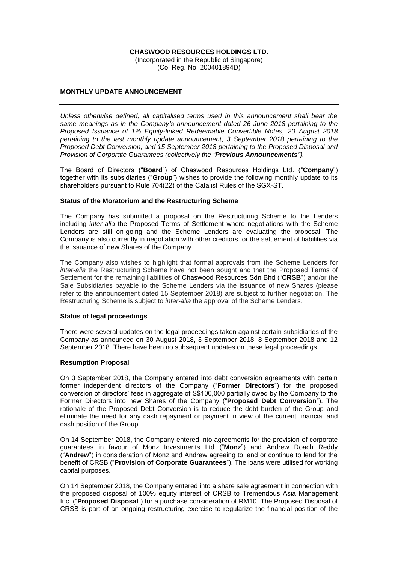### **CHASWOOD RESOURCES HOLDINGS LTD.**

(Incorporated in the Republic of Singapore) (Co. Reg. No. 200401894D)

# **MONTHLY UPDATE ANNOUNCEMENT**

*Unless otherwise defined, all capitalised terms used in this announcement shall bear the same meanings as in the Company's announcement dated 26 June 2018 pertaining to the Proposed Issuance of 1% Equity-linked Redeemable Convertible Notes, 20 August 2018 pertaining to the last monthly update announcement, 3 September 2018 pertaining to the Proposed Debt Conversion, and 15 September 2018 pertaining to the Proposed Disposal and Provision of Corporate Guarantees (collectively the "Previous Announcements").*

The Board of Directors ("**Board**") of Chaswood Resources Holdings Ltd. ("**Company**") together with its subsidiaries ("**Group**") wishes to provide the following monthly update to its shareholders pursuant to Rule 704(22) of the Catalist Rules of the SGX-ST.

#### **Status of the Moratorium and the Restructuring Scheme**

The Company has submitted a proposal on the Restructuring Scheme to the Lenders including *inter-alia* the Proposed Terms of Settlement where negotiations with the Scheme Lenders are still on-going and the Scheme Lenders are evaluating the proposal. The Company is also currently in negotiation with other creditors for the settlement of liabilities via the issuance of new Shares of the Company.

The Company also wishes to highlight that formal approvals from the Scheme Lenders for *inter-alia* the Restructuring Scheme have not been sought and that the Proposed Terms of Settlement for the remaining liabilities of Chaswood Resources Sdn Bhd ("**CRSB**") and/or the Sale Subsidiaries payable to the Scheme Lenders via the issuance of new Shares (please refer to the announcement dated 15 September 2018) are subject to further negotiation. The Restructuring Scheme is subject to *inter-alia* the approval of the Scheme Lenders.

#### **Status of legal proceedings**

There were several updates on the legal proceedings taken against certain subsidiaries of the Company as announced on 30 August 2018, 3 September 2018, 8 September 2018 and 12 September 2018. There have been no subsequent updates on these legal proceedings.

## **Resumption Proposal**

On 3 September 2018, the Company entered into debt conversion agreements with certain former independent directors of the Company ("**Former Directors**") for the proposed conversion of directors' fees in aggregate of S\$100,000 partially owed by the Company to the Former Directors into new Shares of the Company ("**Proposed Debt Conversion**"). The rationale of the Proposed Debt Conversion is to reduce the debt burden of the Group and eliminate the need for any cash repayment or payment in view of the current financial and cash position of the Group.

On 14 September 2018, the Company entered into agreements for the provision of corporate guarantees in favour of Monz Investments Ltd ("**Monz**") and Andrew Roach Reddy ("**Andrew**") in consideration of Monz and Andrew agreeing to lend or continue to lend for the benefit of CRSB ("**Provision of Corporate Guarantees**"). The loans were utilised for working capital purposes.

On 14 September 2018, the Company entered into a share sale agreement in connection with the proposed disposal of 100% equity interest of CRSB to Tremendous Asia Management Inc. ("**Proposed Disposal**") for a purchase consideration of RM10. The Proposed Disposal of CRSB is part of an ongoing restructuring exercise to regularize the financial position of the